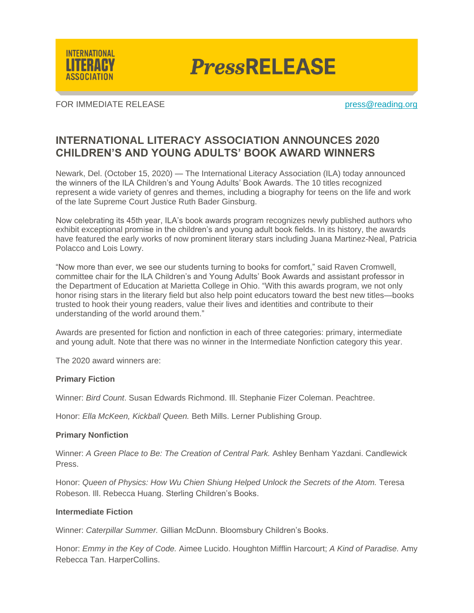

**PressRELEASE** 

FOR IMMEDIATE RELEASE **press**@reading.org

# **INTERNATIONAL LITERACY ASSOCIATION ANNOUNCES 2020 CHILDREN'S AND YOUNG ADULTS' BOOK AWARD WINNERS**

Newark, Del. (October 15, 2020) — The International Literacy Association (ILA) today announced the winners of the ILA Children's and Young Adults' Book Awards. The 10 titles recognized represent a wide variety of genres and themes, including a biography for teens on the life and work of the late Supreme Court Justice Ruth Bader Ginsburg.

Now celebrating its 45th year, ILA's book awards program recognizes newly published authors who exhibit exceptional promise in the children's and young adult book fields. In its history, the awards have featured the early works of now prominent literary stars including Juana Martinez-Neal, Patricia Polacco and Lois Lowry.

"Now more than ever, we see our students turning to books for comfort," said Raven Cromwell, committee chair for the ILA Children's and Young Adults' Book Awards and assistant professor in the Department of Education at Marietta College in Ohio. "With this awards program, we not only honor rising stars in the literary field but also help point educators toward the best new titles—books trusted to hook their young readers, value their lives and identities and contribute to their understanding of the world around them."

Awards are presented for fiction and nonfiction in each of three categories: primary, intermediate and young adult. Note that there was no winner in the Intermediate Nonfiction category this year.

The 2020 award winners are:

### **Primary Fiction**

Winner: *Bird Count*. Susan Edwards Richmond. Ill. Stephanie Fizer Coleman. Peachtree.

Honor: *Ella McKeen, Kickball Queen.* Beth Mills. Lerner Publishing Group.

## **Primary Nonfiction**

Winner: *A Green Place to Be: The Creation of Central Park.* Ashley Benham Yazdani. Candlewick Press.

Honor: *Queen of Physics: How Wu Chien Shiung Helped Unlock the Secrets of the Atom.* Teresa Robeson. Ill. Rebecca Huang. Sterling Children's Books.

### **Intermediate Fiction**

Winner: *Caterpillar Summer.* Gillian McDunn. Bloomsbury Children's Books.

Honor: *Emmy in the Key of Code.* Aimee Lucido. Houghton Mifflin Harcourt; *A Kind of Paradise.* Amy Rebecca Tan. HarperCollins.